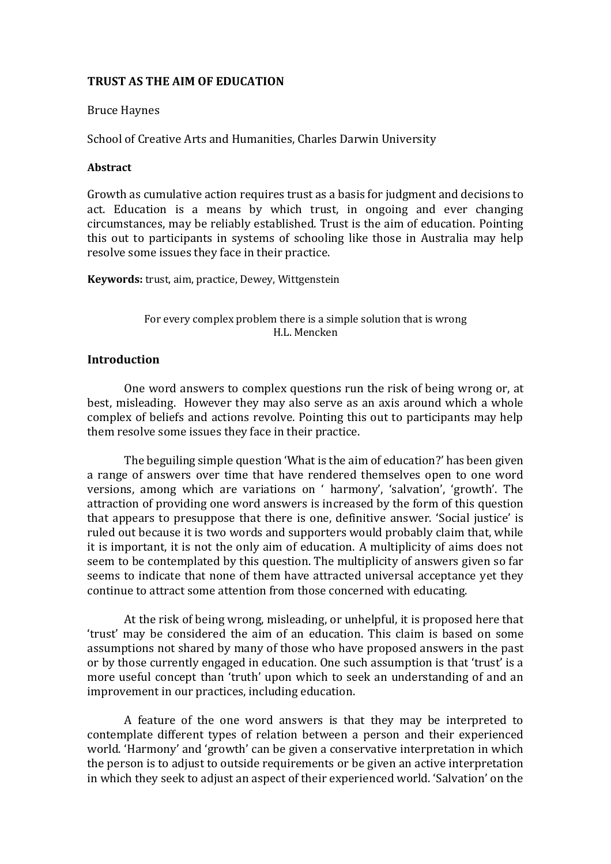### **TRUST AS THE AIM OF EDUCATION**

#### Bruce Haynes

School of Creative Arts and Humanities, Charles Darwin University

#### **Abstract**

Growth as cumulative action requires trust as a basis for judgment and decisions to act. Education is a means by which trust, in ongoing and ever changing circumstances, may be reliably established. Trust is the aim of education. Pointing this out to participants in systems of schooling like those in Australia may help resolve some issues they face in their practice.

**Keywords:** trust, aim, practice, Dewey, Wittgenstein

For every complex problem there is a simple solution that is wrong H.L. Mencken

### **Introduction**

One word answers to complex questions run the risk of being wrong or, at best, misleading. However they may also serve as an axis around which a whole complex of beliefs and actions revolve. Pointing this out to participants may help them resolve some issues they face in their practice.

The beguiling simple question 'What is the aim of education?' has been given a range of answers over time that have rendered themselves open to one word versions, among which are variations on ' harmony', 'salvation', 'growth'. The attraction of providing one word answers is increased by the form of this question that appears to presuppose that there is one, definitive answer. 'Social justice' is ruled out because it is two words and supporters would probably claim that, while it is important, it is not the only aim of education. A multiplicity of aims does not seem to be contemplated by this question. The multiplicity of answers given so far seems to indicate that none of them have attracted universal acceptance yet they continue to attract some attention from those concerned with educating.

At the risk of being wrong, misleading, or unhelpful, it is proposed here that 'trust' may be considered the aim of an education. This claim is based on some assumptions not shared by many of those who have proposed answers in the past or by those currently engaged in education. One such assumption is that 'trust' is a more useful concept than 'truth' upon which to seek an understanding of and an improvement in our practices, including education.

A feature of the one word answers is that they may be interpreted to contemplate different types of relation between a person and their experienced world. 'Harmony' and 'growth' can be given a conservative interpretation in which the person is to adjust to outside requirements or be given an active interpretation in which they seek to adjust an aspect of their experienced world. 'Salvation' on the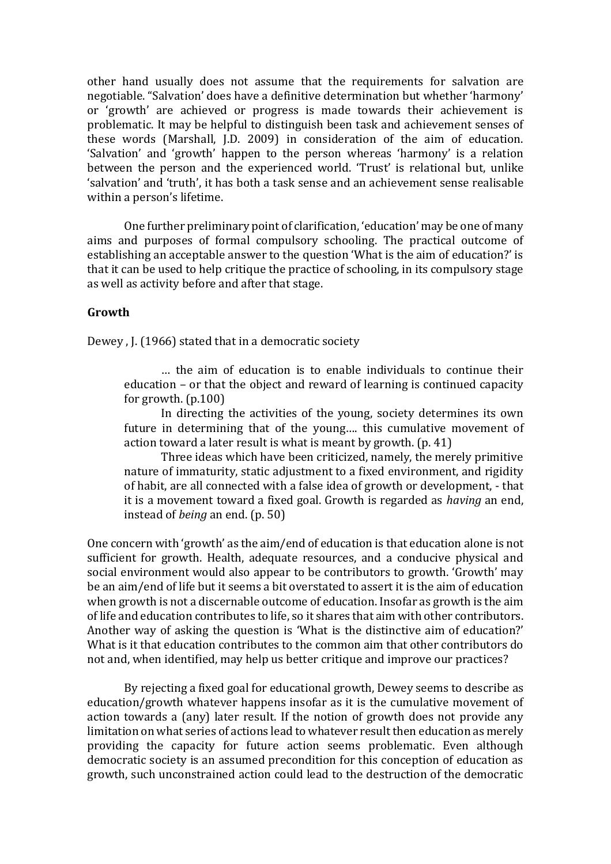other hand usually does not assume that the requirements for salvation are negotiable. "Salvation' does have a definitive determination but whether 'harmony' or 'growth' are achieved or progress is made towards their achievement is problematic. It may be helpful to distinguish been task and achievement senses of these words (Marshall, J.D. 2009) in consideration of the aim of education. 'Salvation' and 'growth' happen to the person whereas 'harmony' is a relation between the person and the experienced world. 'Trust' is relational but, unlike 'salvation' and 'truth', it has both a task sense and an achievement sense realisable within a person's lifetime.

One further preliminary point of clarification, 'education' may be one of many aims and purposes of formal compulsory schooling. The practical outcome of establishing an acceptable answer to the question 'What is the aim of education?' is that it can be used to help critique the practice of schooling, in its compulsory stage as well as activity before and after that stage.

### **Growth**

Dewey , J. (1966) stated that in a democratic society

… the aim of education is to enable individuals to continue their education – or that the object and reward of learning is continued capacity for growth. (p.100)

In directing the activities of the young, society determines its own future in determining that of the young…. this cumulative movement of action toward a later result is what is meant by growth. (p. 41)

Three ideas which have been criticized, namely, the merely primitive nature of immaturity, static adjustment to a fixed environment, and rigidity of habit, are all connected with a false idea of growth or development, - that it is a movement toward a fixed goal. Growth is regarded as *having* an end, instead of *being* an end. (p. 50)

One concern with 'growth' as the aim/end of education is that education alone is not sufficient for growth. Health, adequate resources, and a conducive physical and social environment would also appear to be contributors to growth. 'Growth' may be an aim/end of life but it seems a bit overstated to assert it is the aim of education when growth is not a discernable outcome of education. Insofar as growth is the aim of life and education contributes to life, so it shares that aim with other contributors. Another way of asking the question is 'What is the distinctive aim of education?' What is it that education contributes to the common aim that other contributors do not and, when identified, may help us better critique and improve our practices?

By rejecting a fixed goal for educational growth, Dewey seems to describe as education/growth whatever happens insofar as it is the cumulative movement of action towards a (any) later result. If the notion of growth does not provide any limitation on what series of actions lead to whatever result then education as merely providing the capacity for future action seems problematic. Even although democratic society is an assumed precondition for this conception of education as growth, such unconstrained action could lead to the destruction of the democratic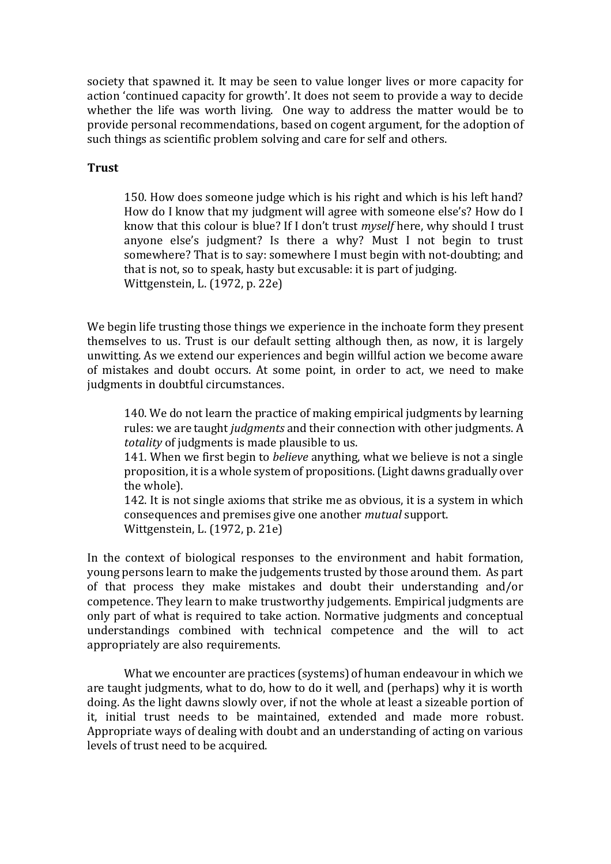society that spawned it. It may be seen to value longer lives or more capacity for action 'continued capacity for growth'. It does not seem to provide a way to decide whether the life was worth living. One way to address the matter would be to provide personal recommendations, based on cogent argument, for the adoption of such things as scientific problem solving and care for self and others.

#### **Trust**

150. How does someone judge which is his right and which is his left hand? How do I know that my judgment will agree with someone else's? How do I know that this colour is blue? If I don't trust *myself* here, why should I trust anyone else's judgment? Is there a why? Must I not begin to trust somewhere? That is to say: somewhere I must begin with not-doubting; and that is not, so to speak, hasty but excusable: it is part of judging. Wittgenstein, L. (1972, p. 22e)

We begin life trusting those things we experience in the inchoate form they present themselves to us. Trust is our default setting although then, as now, it is largely unwitting. As we extend our experiences and begin willful action we become aware of mistakes and doubt occurs. At some point, in order to act, we need to make judgments in doubtful circumstances.

140. We do not learn the practice of making empirical judgments by learning rules: we are taught *judgments* and their connection with other judgments. A *totality* of judgments is made plausible to us.

141. When we first begin to *believe* anything, what we believe is not a single proposition, it is a whole system of propositions. (Light dawns gradually over the whole).

142. It is not single axioms that strike me as obvious, it is a system in which consequences and premises give one another *mutual* support. Wittgenstein, L. (1972, p. 21e)

In the context of biological responses to the environment and habit formation, young persons learn to make the judgements trusted by those around them. As part of that process they make mistakes and doubt their understanding and/or competence. They learn to make trustworthy judgements. Empirical judgments are only part of what is required to take action. Normative judgments and conceptual understandings combined with technical competence and the will to act appropriately are also requirements.

What we encounter are practices (systems) of human endeavour in which we are taught judgments, what to do, how to do it well, and (perhaps) why it is worth doing. As the light dawns slowly over, if not the whole at least a sizeable portion of it, initial trust needs to be maintained, extended and made more robust. Appropriate ways of dealing with doubt and an understanding of acting on various levels of trust need to be acquired.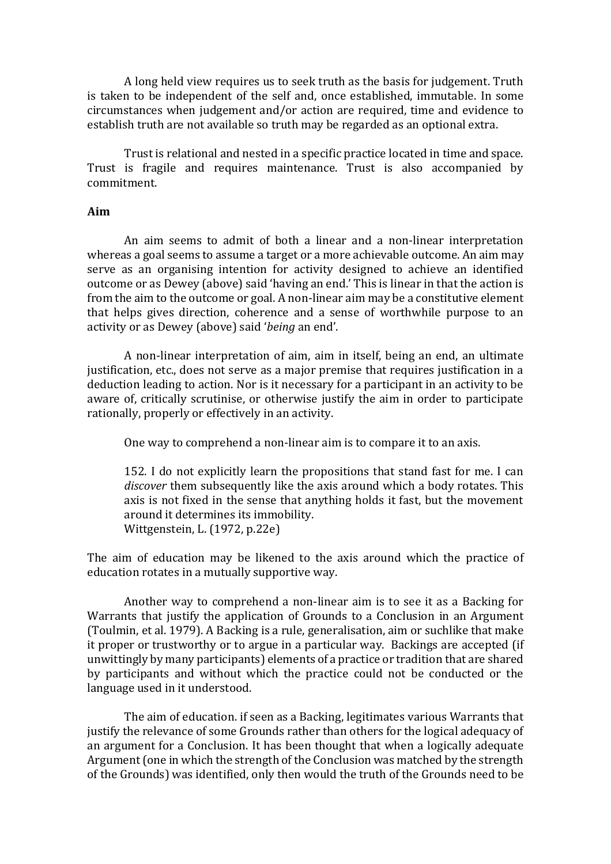A long held view requires us to seek truth as the basis for judgement. Truth is taken to be independent of the self and, once established, immutable. In some circumstances when judgement and/or action are required, time and evidence to establish truth are not available so truth may be regarded as an optional extra.

Trust is relational and nested in a specific practice located in time and space. Trust is fragile and requires maintenance. Trust is also accompanied by commitment.

# **Aim**

An aim seems to admit of both a linear and a non-linear interpretation whereas a goal seems to assume a target or a more achievable outcome. An aim may serve as an organising intention for activity designed to achieve an identified outcome or as Dewey (above) said 'having an end.' This is linear in that the action is from the aim to the outcome or goal. A non-linear aim may be a constitutive element that helps gives direction, coherence and a sense of worthwhile purpose to an activity or as Dewey (above) said '*being* an end'.

A non-linear interpretation of aim, aim in itself, being an end, an ultimate justification, etc., does not serve as a major premise that requires justification in a deduction leading to action. Nor is it necessary for a participant in an activity to be aware of, critically scrutinise, or otherwise justify the aim in order to participate rationally, properly or effectively in an activity.

One way to comprehend a non-linear aim is to compare it to an axis.

152. I do not explicitly learn the propositions that stand fast for me. I can *discover* them subsequently like the axis around which a body rotates. This axis is not fixed in the sense that anything holds it fast, but the movement around it determines its immobility. Wittgenstein, L. (1972, p.22e)

The aim of education may be likened to the axis around which the practice of education rotates in a mutually supportive way.

Another way to comprehend a non-linear aim is to see it as a Backing for Warrants that justify the application of Grounds to a Conclusion in an Argument (Toulmin, et al. 1979). A Backing is a rule, generalisation, aim or suchlike that make it proper or trustworthy or to argue in a particular way. Backings are accepted (if unwittingly by many participants) elements of a practice or tradition that are shared by participants and without which the practice could not be conducted or the language used in it understood.

The aim of education. if seen as a Backing, legitimates various Warrants that justify the relevance of some Grounds rather than others for the logical adequacy of an argument for a Conclusion. It has been thought that when a logically adequate Argument (one in which the strength of the Conclusion was matched by the strength of the Grounds) was identified, only then would the truth of the Grounds need to be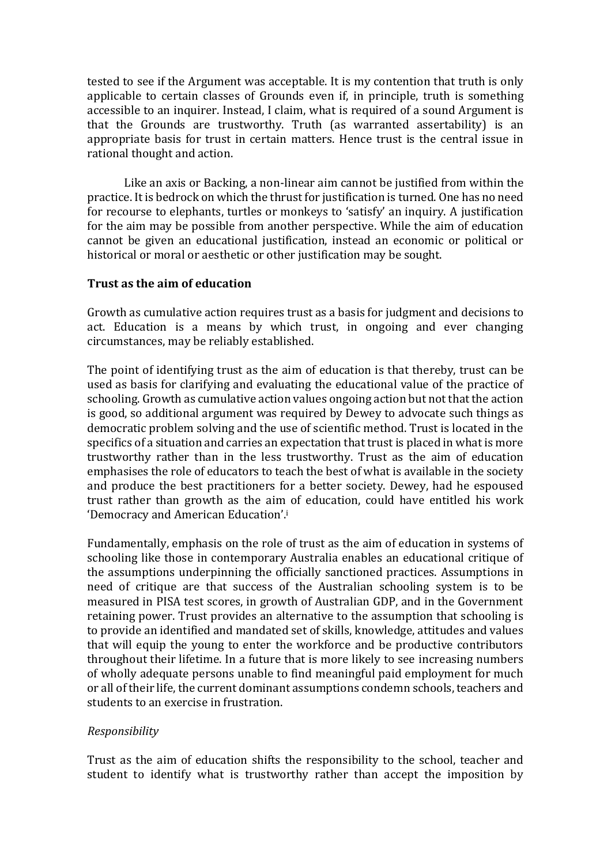tested to see if the Argument was acceptable. It is my contention that truth is only applicable to certain classes of Grounds even if, in principle, truth is something accessible to an inquirer. Instead, I claim, what is required of a sound Argument is that the Grounds are trustworthy. Truth (as warranted assertability) is an appropriate basis for trust in certain matters. Hence trust is the central issue in rational thought and action.

Like an axis or Backing, a non-linear aim cannot be justified from within the practice. It is bedrock on which the thrust for justification is turned. One has no need for recourse to elephants, turtles or monkeys to 'satisfy' an inquiry. A justification for the aim may be possible from another perspective. While the aim of education cannot be given an educational justification, instead an economic or political or historical or moral or aesthetic or other justification may be sought.

### **Trust as the aim of education**

Growth as cumulative action requires trust as a basis for judgment and decisions to act. Education is a means by which trust, in ongoing and ever changing circumstances, may be reliably established.

The point of identifying trust as the aim of education is that thereby, trust can be used as basis for clarifying and evaluating the educational value of the practice of schooling. Growth as cumulative action values ongoing action but not that the action is good, so additional argument was required by Dewey to advocate such things as democratic problem solving and the use of scientific method. Trust is located in the specifics of a situation and carries an expectation that trust is placed in what is more trustworthy rather than in the less trustworthy. Trust as the aim of education emphasises the role of educators to teach the best of what is available in the society and produce the best practitioners for a better society. Dewey, had he espoused trust rather than growth as the aim of education, could have entitled his work 'Democracy and American Education'.<sup>i</sup>

Fundamentally, emphasis on the role of trust as the aim of education in systems of schooling like those in contemporary Australia enables an educational critique of the assumptions underpinning the officially sanctioned practices. Assumptions in need of critique are that success of the Australian schooling system is to be measured in PISA test scores, in growth of Australian GDP, and in the Government retaining power. Trust provides an alternative to the assumption that schooling is to provide an identified and mandated set of skills, knowledge, attitudes and values that will equip the young to enter the workforce and be productive contributors throughout their lifetime. In a future that is more likely to see increasing numbers of wholly adequate persons unable to find meaningful paid employment for much or all of their life, the current dominant assumptions condemn schools, teachers and students to an exercise in frustration.

# *Responsibility*

Trust as the aim of education shifts the responsibility to the school, teacher and student to identify what is trustworthy rather than accept the imposition by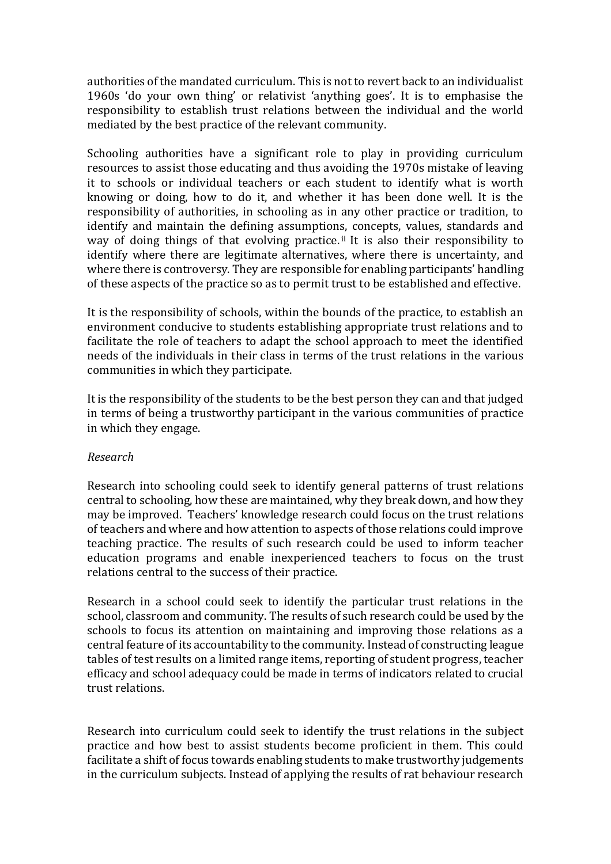authorities of the mandated curriculum. This is not to revert back to an individualist 1960s 'do your own thing' or relativist 'anything goes'. It is to emphasise the responsibility to establish trust relations between the individual and the world mediated by the best practice of the relevant community.

Schooling authorities have a significant role to play in providing curriculum resources to assist those educating and thus avoiding the 1970s mistake of leaving it to schools or individual teachers or each student to identify what is worth knowing or doing, how to do it, and whether it has been done well. It is the responsibility of authorities, in schooling as in any other practice or tradition, to identify and maintain the defining assumptions, concepts, values, standards and way of doing things of that evolving practice.<sup>ii</sup> It is also their responsibility to identify where there are legitimate alternatives, where there is uncertainty, and where there is controversy. They are responsible for enabling participants' handling of these aspects of the practice so as to permit trust to be established and effective.

It is the responsibility of schools, within the bounds of the practice, to establish an environment conducive to students establishing appropriate trust relations and to facilitate the role of teachers to adapt the school approach to meet the identified needs of the individuals in their class in terms of the trust relations in the various communities in which they participate.

It is the responsibility of the students to be the best person they can and that judged in terms of being a trustworthy participant in the various communities of practice in which they engage.

# *Research*

Research into schooling could seek to identify general patterns of trust relations central to schooling, how these are maintained, why they break down, and how they may be improved. Teachers' knowledge research could focus on the trust relations of teachers and where and how attention to aspects of those relations could improve teaching practice. The results of such research could be used to inform teacher education programs and enable inexperienced teachers to focus on the trust relations central to the success of their practice.

Research in a school could seek to identify the particular trust relations in the school, classroom and community. The results of such research could be used by the schools to focus its attention on maintaining and improving those relations as a central feature of its accountability to the community. Instead of constructing league tables of test results on a limited range items, reporting of student progress, teacher efficacy and school adequacy could be made in terms of indicators related to crucial trust relations.

Research into curriculum could seek to identify the trust relations in the subject practice and how best to assist students become proficient in them. This could facilitate a shift of focus towards enabling students to make trustworthy judgements in the curriculum subjects. Instead of applying the results of rat behaviour research